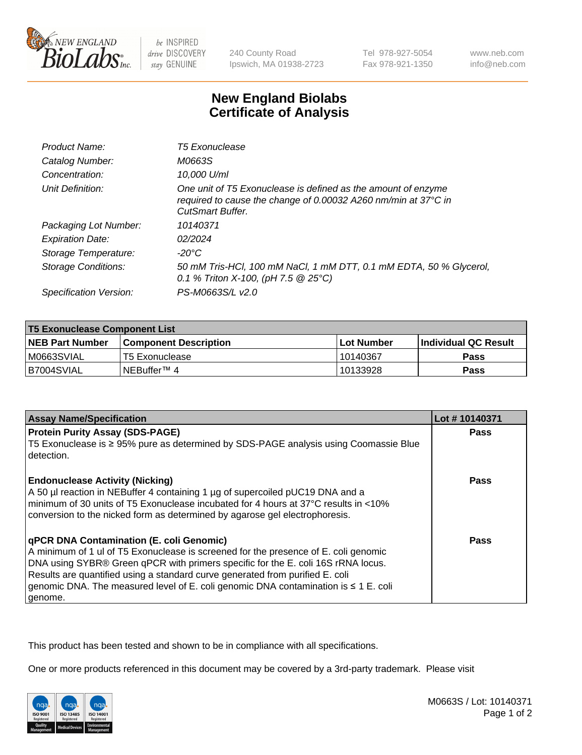

be INSPIRED drive DISCOVERY stay GENUINE

240 County Road Ipswich, MA 01938-2723 Tel 978-927-5054 Fax 978-921-1350

www.neb.com info@neb.com

## **New England Biolabs Certificate of Analysis**

| Product Name:              | <b>T5 Exonuclease</b>                                                                                                                                      |
|----------------------------|------------------------------------------------------------------------------------------------------------------------------------------------------------|
| Catalog Number:            | M0663S                                                                                                                                                     |
| Concentration:             | 10,000 U/ml                                                                                                                                                |
| Unit Definition:           | One unit of T5 Exonuclease is defined as the amount of enzyme<br>required to cause the change of 0.00032 A260 nm/min at 37°C in<br><b>CutSmart Buffer.</b> |
| Packaging Lot Number:      | 10140371                                                                                                                                                   |
| <b>Expiration Date:</b>    | 02/2024                                                                                                                                                    |
| Storage Temperature:       | $-20^{\circ}$ C                                                                                                                                            |
| <b>Storage Conditions:</b> | 50 mM Tris-HCl, 100 mM NaCl, 1 mM DTT, 0.1 mM EDTA, 50 % Glycerol,<br>0.1 % Triton X-100, (pH 7.5 $@25°C$ )                                                |
| Specification Version:     | PS-M0663S/L v2.0                                                                                                                                           |

| <b>T5 Exonuclease Component List</b> |                         |             |                       |  |
|--------------------------------------|-------------------------|-------------|-----------------------|--|
| <b>NEB Part Number</b>               | l Component Description | ⊺Lot Number | ∣Individual QC Result |  |
| I M0663SVIAL                         | T5 Exonuclease          | 10140367    | <b>Pass</b>           |  |
| I B7004SVIAL                         | l NEBuffer™ 4           | 10133928    | <b>Pass</b>           |  |

| <b>Assay Name/Specification</b>                                                                                                                                                                                                                                                                                                                                                                               | Lot #10140371 |
|---------------------------------------------------------------------------------------------------------------------------------------------------------------------------------------------------------------------------------------------------------------------------------------------------------------------------------------------------------------------------------------------------------------|---------------|
| <b>Protein Purity Assay (SDS-PAGE)</b>                                                                                                                                                                                                                                                                                                                                                                        | <b>Pass</b>   |
| T5 Exonuclease is ≥ 95% pure as determined by SDS-PAGE analysis using Coomassie Blue<br>l detection.                                                                                                                                                                                                                                                                                                          |               |
| <b>Endonuclease Activity (Nicking)</b><br>A 50 µl reaction in NEBuffer 4 containing 1 µg of supercoiled pUC19 DNA and a<br>I minimum of 30 units of T5 Exonuclease incubated for 4 hours at 37°C results in <10%<br>conversion to the nicked form as determined by agarose gel electrophoresis.                                                                                                               | <b>Pass</b>   |
| <b>qPCR DNA Contamination (E. coli Genomic)</b><br>A minimum of 1 ul of T5 Exonuclease is screened for the presence of E. coli genomic<br>DNA using SYBR® Green qPCR with primers specific for the E. coli 16S rRNA locus.<br>Results are quantified using a standard curve generated from purified E. coli<br>genomic DNA. The measured level of E. coli genomic DNA contamination is ≤ 1 E. coli<br>genome. | <b>Pass</b>   |

This product has been tested and shown to be in compliance with all specifications.

One or more products referenced in this document may be covered by a 3rd-party trademark. Please visit